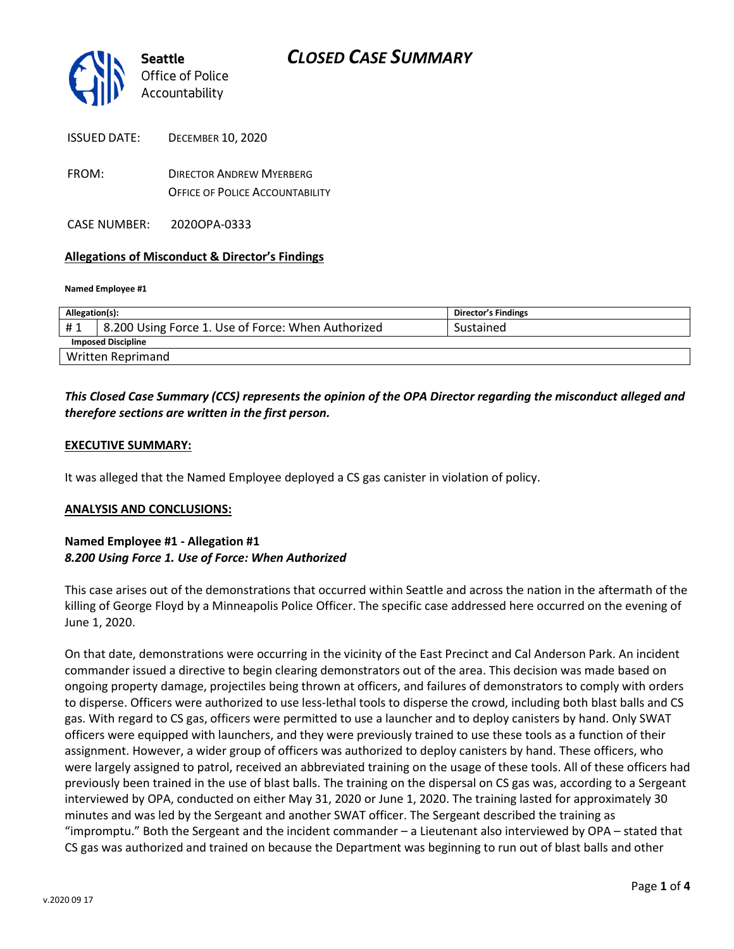

FROM: DIRECTOR ANDREW MYERBERG OFFICE OF POLICE ACCOUNTABILITY

CASE NUMBER: 2020OPA-0333

#### **Allegations of Misconduct & Director's Findings**

**Named Employee #1**

| Allegation(s):            |                                                    | Director's Findings |
|---------------------------|----------------------------------------------------|---------------------|
| #1                        | 8.200 Using Force 1. Use of Force: When Authorized | Sustained           |
| <b>Imposed Discipline</b> |                                                    |                     |
| <b>Written Reprimand</b>  |                                                    |                     |

### *This Closed Case Summary (CCS) represents the opinion of the OPA Director regarding the misconduct alleged and therefore sections are written in the first person.*

#### **EXECUTIVE SUMMARY:**

It was alleged that the Named Employee deployed a CS gas canister in violation of policy.

#### **ANALYSIS AND CONCLUSIONS:**

#### **Named Employee #1 - Allegation #1** *8.200 Using Force 1. Use of Force: When Authorized*

This case arises out of the demonstrations that occurred within Seattle and across the nation in the aftermath of the killing of George Floyd by a Minneapolis Police Officer. The specific case addressed here occurred on the evening of June 1, 2020.

On that date, demonstrations were occurring in the vicinity of the East Precinct and Cal Anderson Park. An incident commander issued a directive to begin clearing demonstrators out of the area. This decision was made based on ongoing property damage, projectiles being thrown at officers, and failures of demonstrators to comply with orders to disperse. Officers were authorized to use less-lethal tools to disperse the crowd, including both blast balls and CS gas. With regard to CS gas, officers were permitted to use a launcher and to deploy canisters by hand. Only SWAT officers were equipped with launchers, and they were previously trained to use these tools as a function of their assignment. However, a wider group of officers was authorized to deploy canisters by hand. These officers, who were largely assigned to patrol, received an abbreviated training on the usage of these tools. All of these officers had previously been trained in the use of blast balls. The training on the dispersal on CS gas was, according to a Sergeant interviewed by OPA, conducted on either May 31, 2020 or June 1, 2020. The training lasted for approximately 30 minutes and was led by the Sergeant and another SWAT officer. The Sergeant described the training as "impromptu." Both the Sergeant and the incident commander – a Lieutenant also interviewed by OPA – stated that CS gas was authorized and trained on because the Department was beginning to run out of blast balls and other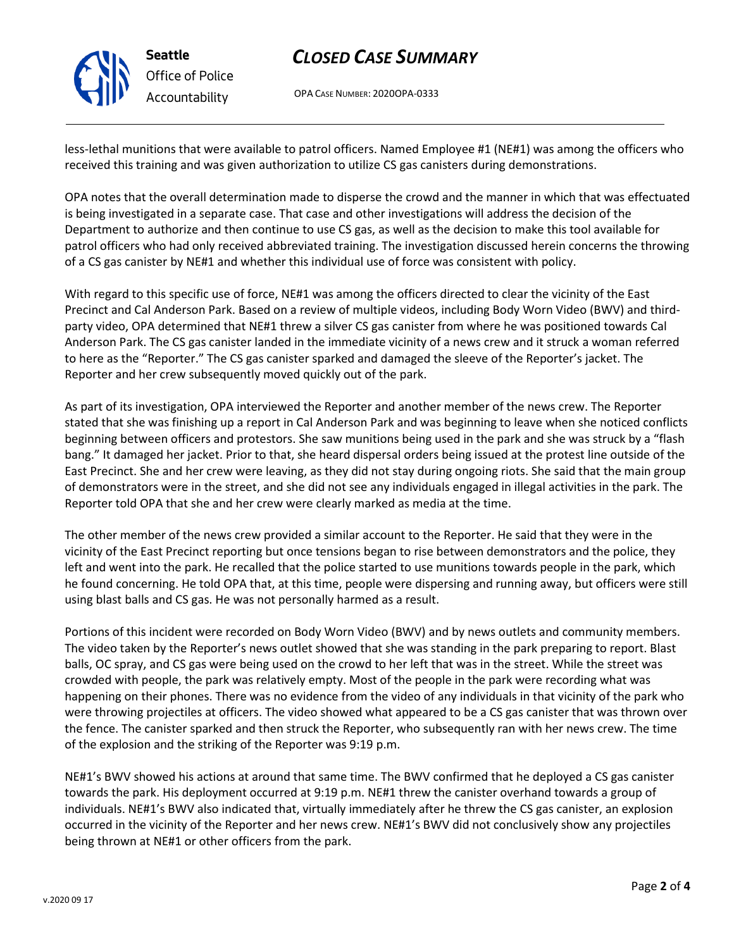

### **Seattle** *Office of Police Accountability*

# *CLOSED CASE SUMMARY*

OPA CASE NUMBER: 2020OPA-0333

less-lethal munitions that were available to patrol officers. Named Employee #1 (NE#1) was among the officers who received this training and was given authorization to utilize CS gas canisters during demonstrations.

OPA notes that the overall determination made to disperse the crowd and the manner in which that was effectuated is being investigated in a separate case. That case and other investigations will address the decision of the Department to authorize and then continue to use CS gas, as well as the decision to make this tool available for patrol officers who had only received abbreviated training. The investigation discussed herein concerns the throwing of a CS gas canister by NE#1 and whether this individual use of force was consistent with policy.

With regard to this specific use of force, NE#1 was among the officers directed to clear the vicinity of the East Precinct and Cal Anderson Park. Based on a review of multiple videos, including Body Worn Video (BWV) and thirdparty video, OPA determined that NE#1 threw a silver CS gas canister from where he was positioned towards Cal Anderson Park. The CS gas canister landed in the immediate vicinity of a news crew and it struck a woman referred to here as the "Reporter." The CS gas canister sparked and damaged the sleeve of the Reporter's jacket. The Reporter and her crew subsequently moved quickly out of the park.

As part of its investigation, OPA interviewed the Reporter and another member of the news crew. The Reporter stated that she was finishing up a report in Cal Anderson Park and was beginning to leave when she noticed conflicts beginning between officers and protestors. She saw munitions being used in the park and she was struck by a "flash bang." It damaged her jacket. Prior to that, she heard dispersal orders being issued at the protest line outside of the East Precinct. She and her crew were leaving, as they did not stay during ongoing riots. She said that the main group of demonstrators were in the street, and she did not see any individuals engaged in illegal activities in the park. The Reporter told OPA that she and her crew were clearly marked as media at the time.

The other member of the news crew provided a similar account to the Reporter. He said that they were in the vicinity of the East Precinct reporting but once tensions began to rise between demonstrators and the police, they left and went into the park. He recalled that the police started to use munitions towards people in the park, which he found concerning. He told OPA that, at this time, people were dispersing and running away, but officers were still using blast balls and CS gas. He was not personally harmed as a result.

Portions of this incident were recorded on Body Worn Video (BWV) and by news outlets and community members. The video taken by the Reporter's news outlet showed that she was standing in the park preparing to report. Blast balls, OC spray, and CS gas were being used on the crowd to her left that was in the street. While the street was crowded with people, the park was relatively empty. Most of the people in the park were recording what was happening on their phones. There was no evidence from the video of any individuals in that vicinity of the park who were throwing projectiles at officers. The video showed what appeared to be a CS gas canister that was thrown over the fence. The canister sparked and then struck the Reporter, who subsequently ran with her news crew. The time of the explosion and the striking of the Reporter was 9:19 p.m.

NE#1's BWV showed his actions at around that same time. The BWV confirmed that he deployed a CS gas canister towards the park. His deployment occurred at 9:19 p.m. NE#1 threw the canister overhand towards a group of individuals. NE#1's BWV also indicated that, virtually immediately after he threw the CS gas canister, an explosion occurred in the vicinity of the Reporter and her news crew. NE#1's BWV did not conclusively show any projectiles being thrown at NE#1 or other officers from the park.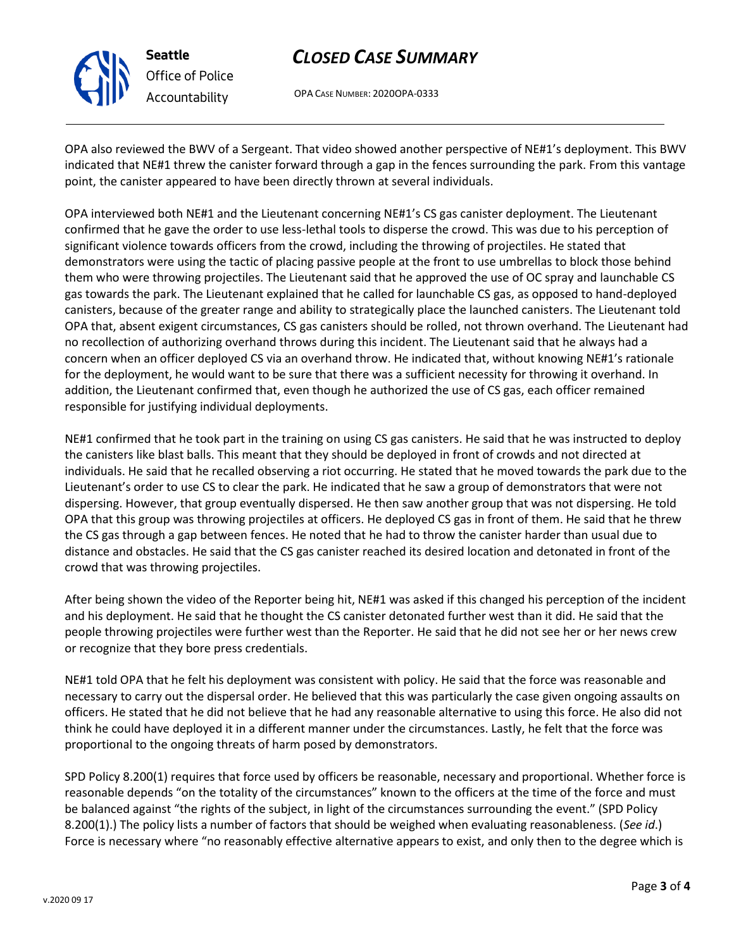

**Seattle** *Office of Police Accountability*

# *CLOSED CASE SUMMARY*

OPA CASE NUMBER: 2020OPA-0333

OPA also reviewed the BWV of a Sergeant. That video showed another perspective of NE#1's deployment. This BWV indicated that NE#1 threw the canister forward through a gap in the fences surrounding the park. From this vantage point, the canister appeared to have been directly thrown at several individuals.

OPA interviewed both NE#1 and the Lieutenant concerning NE#1's CS gas canister deployment. The Lieutenant confirmed that he gave the order to use less-lethal tools to disperse the crowd. This was due to his perception of significant violence towards officers from the crowd, including the throwing of projectiles. He stated that demonstrators were using the tactic of placing passive people at the front to use umbrellas to block those behind them who were throwing projectiles. The Lieutenant said that he approved the use of OC spray and launchable CS gas towards the park. The Lieutenant explained that he called for launchable CS gas, as opposed to hand-deployed canisters, because of the greater range and ability to strategically place the launched canisters. The Lieutenant told OPA that, absent exigent circumstances, CS gas canisters should be rolled, not thrown overhand. The Lieutenant had no recollection of authorizing overhand throws during this incident. The Lieutenant said that he always had a concern when an officer deployed CS via an overhand throw. He indicated that, without knowing NE#1's rationale for the deployment, he would want to be sure that there was a sufficient necessity for throwing it overhand. In addition, the Lieutenant confirmed that, even though he authorized the use of CS gas, each officer remained responsible for justifying individual deployments.

NE#1 confirmed that he took part in the training on using CS gas canisters. He said that he was instructed to deploy the canisters like blast balls. This meant that they should be deployed in front of crowds and not directed at individuals. He said that he recalled observing a riot occurring. He stated that he moved towards the park due to the Lieutenant's order to use CS to clear the park. He indicated that he saw a group of demonstrators that were not dispersing. However, that group eventually dispersed. He then saw another group that was not dispersing. He told OPA that this group was throwing projectiles at officers. He deployed CS gas in front of them. He said that he threw the CS gas through a gap between fences. He noted that he had to throw the canister harder than usual due to distance and obstacles. He said that the CS gas canister reached its desired location and detonated in front of the crowd that was throwing projectiles.

After being shown the video of the Reporter being hit, NE#1 was asked if this changed his perception of the incident and his deployment. He said that he thought the CS canister detonated further west than it did. He said that the people throwing projectiles were further west than the Reporter. He said that he did not see her or her news crew or recognize that they bore press credentials.

NE#1 told OPA that he felt his deployment was consistent with policy. He said that the force was reasonable and necessary to carry out the dispersal order. He believed that this was particularly the case given ongoing assaults on officers. He stated that he did not believe that he had any reasonable alternative to using this force. He also did not think he could have deployed it in a different manner under the circumstances. Lastly, he felt that the force was proportional to the ongoing threats of harm posed by demonstrators.

SPD Policy 8.200(1) requires that force used by officers be reasonable, necessary and proportional. Whether force is reasonable depends "on the totality of the circumstances" known to the officers at the time of the force and must be balanced against "the rights of the subject, in light of the circumstances surrounding the event." (SPD Policy 8.200(1).) The policy lists a number of factors that should be weighed when evaluating reasonableness. (*See id*.) Force is necessary where "no reasonably effective alternative appears to exist, and only then to the degree which is